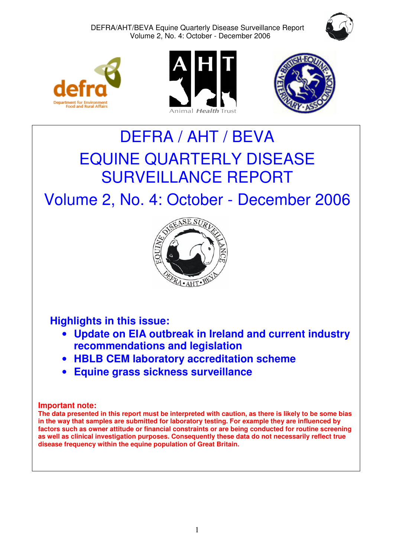DEFRA/AHT/BEVA Equine Quarterly Disease Surveillance Report Volume 2, No. 4: October - December 2006









# DEFRA / AHT / BEVA EQUINE QUARTERLY DISEASE SURVEILLANCE REPORT

Volume 2, No. 4: October - December 2006



# **Highlights in this issue:**

- **Update on EIA outbreak in Ireland and current industry recommendations and legislation**
- **HBLB CEM laboratory accreditation scheme**
- **Equine grass sickness surveillance**

# **Important note:**

**The data presented in this report must be interpreted with caution, as there is likely to be some bias in the way that samples are submitted for laboratory testing. For example they are influenced by factors such as owner attitude or financial constraints or are being conducted for routine screening as well as clinical investigation purposes. Consequently these data do not necessarily reflect true disease frequency within the equine population of Great Britain.**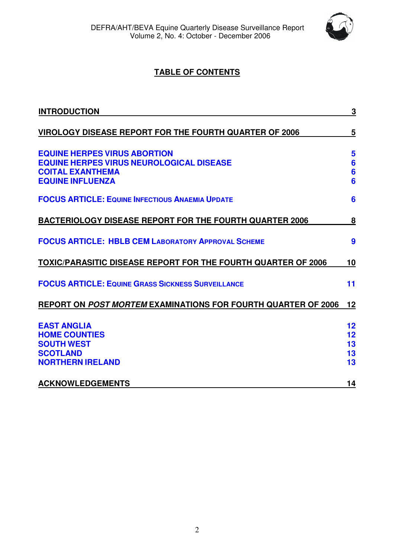

# **TABLE OF CONTENTS**

| <b>INTRODUCTION</b>                                                                                                                          | $\overline{\mathbf{3}}$                      |
|----------------------------------------------------------------------------------------------------------------------------------------------|----------------------------------------------|
| VIROLOGY DISEASE REPORT FOR THE FOURTH QUARTER OF 2006                                                                                       | 5                                            |
| <b>EQUINE HERPES VIRUS ABORTION</b><br><b>EQUINE HERPES VIRUS NEUROLOGICAL DISEASE</b><br><b>COITAL EXANTHEMA</b><br><b>EQUINE INFLUENZA</b> | 5<br>$6\phantom{1}6$<br>$6\phantom{1}6$<br>6 |
| <b>FOCUS ARTICLE: EQUINE INFECTIOUS ANAEMIA UPDATE</b>                                                                                       | 6                                            |
| <b>BACTERIOLOGY DISEASE REPORT FOR THE FOURTH QUARTER 2006</b>                                                                               | 8                                            |
| <b>FOCUS ARTICLE: HBLB CEM LABORATORY APPROVAL SCHEME</b>                                                                                    | 9                                            |
| TOXIC/PARASITIC DISEASE REPORT FOR THE FOURTH QUARTER OF 2006                                                                                | 10                                           |
| <b>FOCUS ARTICLE: EQUINE GRASS SICKNESS SURVEILLANCE</b>                                                                                     | 11                                           |
| REPORT ON POST MORTEM EXAMINATIONS FOR FOURTH QUARTER OF 2006                                                                                | 12                                           |
| <b>EAST ANGLIA</b><br><b>HOME COUNTIES</b><br><b>SOUTH WEST</b><br><b>SCOTLAND</b><br><b>NORTHERN IRELAND</b>                                | 12<br>12<br>13<br>13<br>13                   |
| <b>ACKNOWLEDGEMENTS</b>                                                                                                                      | 14                                           |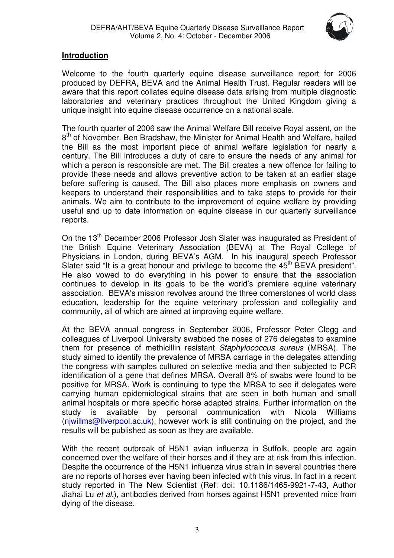

# <span id="page-2-0"></span>**Introduction**

Welcome to the fourth quarterly equine disease surveillance report for 2006 produced by DEFRA, BEVA and the Animal Health Trust. Regular readers will be aware that this report collates equine disease data arising from multiple diagnostic laboratories and veterinary practices throughout the United Kingdom giving a unique insight into equine disease occurrence on a national scale.

The fourth quarter of 2006 saw the Animal Welfare Bill receive Royal assent, on the 8<sup>th</sup> of November. Ben Bradshaw, the Minister for Animal Health and Welfare, hailed the Bill as the most important piece of animal welfare legislation for nearly a century. The Bill introduces a duty of care to ensure the needs of any animal for which a person is responsible are met. The Bill creates a new offence for failing to provide these needs and allows preventive action to be taken at an earlier stage before suffering is caused. The Bill also places more emphasis on owners and keepers to understand their responsibilities and to take steps to provide for their animals. We aim to contribute to the improvement of equine welfare by providing useful and up to date information on equine disease in our quarterly surveillance reports.

On the 13<sup>th</sup> December 2006 Professor Josh Slater was inaugurated as President of the British Equine Veterinary Association (BEVA) at The Royal College of Physicians in London, during BEVA's AGM. In his inaugural speech Professor Slater said "It is a great honour and privilege to become the  $45<sup>th</sup>$  BEVA president". He also vowed to do everything in his power to ensure that the association continues to develop in its goals to be the world's premiere equine veterinary association. BEVA's mission revolves around the three cornerstones of world class education, leadership for the equine veterinary profession and collegiality and community, all of which are aimed at improving equine welfare.

At the BEVA annual congress in September 2006, Professor Peter Clegg and colleagues of Liverpool University swabbed the noses of 276 delegates to examine them for presence of methicillin resistant *Staphylococcus aureus* (MRSA). The study aimed to identify the prevalence of MRSA carriage in the delegates attending the congress with samples cultured on selective media and then subjected to PCR identification of a gene that defines MRSA. Overall 8% of swabs were found to be positive for MRSA. Work is continuing to type the MRSA to see if delegates were carrying human epidemiological strains that are seen in both human and small animal hospitals or more specific horse adapted strains. Further information on the study is available by personal communication with Nicola Williams (njwillms@liverpool.ac.uk), however work is still continuing on the project, and the results will be published as soon as they are available.

With the recent outbreak of H5N1 avian influenza in Suffolk, people are again concerned over the welfare of their horses and if they are at risk from this infection. Despite the occurrence of the H5N1 influenza virus strain in several countries there are no reports of horses ever having been infected with this virus. In fact in a recent study reported in The New Scientist (Ref: doi: 10.1186/1465-9921-7-43, Author Jiahai Lu et al.), antibodies derived from horses against H5N1 prevented mice from dying of the disease.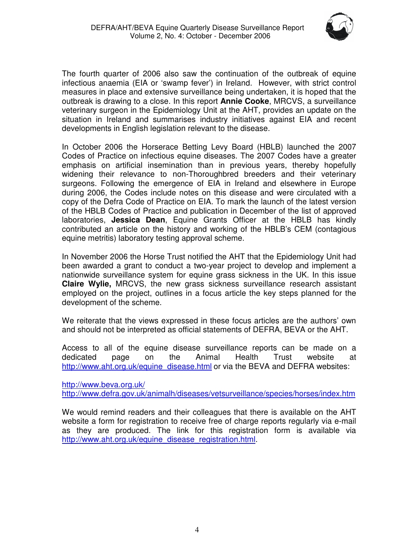

The fourth quarter of 2006 also saw the continuation of the outbreak of equine infectious anaemia (EIA or 'swamp fever') in Ireland. However, with strict control measures in place and extensive surveillance being undertaken, it is hoped that the outbreak is drawing to a close. In this report **Annie Cooke**, MRCVS, a surveillance veterinary surgeon in the Epidemiology Unit at the AHT, provides an update on the situation in Ireland and summarises industry initiatives against EIA and recent developments in English legislation relevant to the disease.

In October 2006 the Horserace Betting Levy Board (HBLB) launched the 2007 Codes of Practice on infectious equine diseases. The 2007 Codes have a greater emphasis on artificial insemination than in previous years, thereby hopefully widening their relevance to non-Thoroughbred breeders and their veterinary surgeons. Following the emergence of EIA in Ireland and elsewhere in Europe during 2006, the Codes include notes on this disease and were circulated with a copy of the Defra Code of Practice on EIA. To mark the launch of the latest version of the HBLB Codes of Practice and publication in December of the list of approved laboratories, **Jessica Dean**, Equine Grants Officer at the HBLB has kindly contributed an article on the history and working of the HBLB's CEM (contagious equine metritis) laboratory testing approval scheme.

In November 2006 the Horse Trust notified the AHT that the Epidemiology Unit had been awarded a grant to conduct a two-year project to develop and implement a nationwide surveillance system for equine grass sickness in the UK. In this issue **Claire Wylie,** MRCVS, the new grass sickness surveillance research assistant employed on the project, outlines in a focus article the key steps planned for the development of the scheme.

We reiterate that the views expressed in these focus articles are the authors' own and should not be interpreted as official statements of DEFRA, BEVA or the AHT.

Access to all of the equine disease surveillance reports can be made on a dedicated page on the Animal Health Trust website at [http://www.aht.org.uk/equine\\_disease.html](http://www.aht.org.uk/equine_disease.html) or via the BEVA and DEFRA websites:

[http://www.beva.org.uk/](http://www.beva.org.uk) <http://www.defra.gov.uk/animalh/diseases/vetsurveillance/species/horses/index.htm>

We would remind readers and their colleagues that there is available on the AHT website a form for registration to receive free of charge reports regularly via e-mail as they are produced. The link for this registration form is available via http://www.aht.org.uk/equine\_disease\_registration.html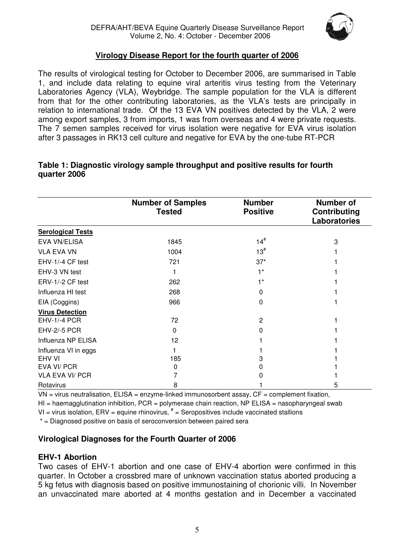

# **Virology Disease Report for the fourth quarter of 2006**

<span id="page-4-0"></span>The results of virological testing for October to December 2006, are summarised in Table 1, and include data relating to equine viral arteritis virus testing from the Veterinary Laboratories Agency (VLA), Weybridge. The sample population for the VLA is different from that for the other contributing laboratories, as the VLA's tests are principally in relation to international trade. Of the 13 EVA VN positives detected by the VLA, 2 were among export samples, 3 from imports, 1 was from overseas and 4 were private requests. The 7 semen samples received for virus isolation were negative for EVA virus isolation after 3 passages in RK13 cell culture and negative for EVA by the one-tube RT-PCR

|                          | <b>Number of Samples</b><br><b>Tested</b> | <b>Number</b><br><b>Positive</b> | <b>Number of</b><br>Contributing<br><b>Laboratories</b> |
|--------------------------|-------------------------------------------|----------------------------------|---------------------------------------------------------|
| <b>Serological Tests</b> |                                           |                                  |                                                         |
| EVA VN/ELISA             | 1845                                      | $14^{#}$                         | 3                                                       |
| <b>VLA EVA VN</b>        | 1004                                      | $13^{#}$                         |                                                         |
| EHV-1/-4 CF test         | 721                                       | $37*$                            |                                                         |
| EHV-3 VN test            |                                           | $1*$                             |                                                         |
| ERV-1/-2 CF test         | 262                                       | $1*$                             |                                                         |
| Influenza HI test        | 268                                       | 0                                |                                                         |
| EIA (Coggins)            | 966                                       | $\mathbf{0}$                     |                                                         |
| <b>Virus Detection</b>   |                                           |                                  |                                                         |
| <b>EHV-1/-4 PCR</b>      | 72                                        | 2                                |                                                         |
| <b>EHV-2/-5 PCR</b>      | $\Omega$                                  | 0                                |                                                         |
| Influenza NP ELISA       | 12                                        |                                  |                                                         |
| Influenza VI in eggs     |                                           |                                  |                                                         |
| <b>EHV VI</b>            | 185                                       | 3                                |                                                         |
| EVA VI/ PCR              | 0                                         | 0                                |                                                         |
| <b>VLA EVA VI/ PCR</b>   |                                           |                                  |                                                         |
| Rotavirus                | 8                                         |                                  | 5                                                       |

#### **Table 1: Diagnostic virology sample throughput and positive results for fourth quarter 2006**

VN = virus neutralisation, ELISA = enzyme-linked immunosorbent assay, CF = complement fixation,

 $H =$  haemagglutination inhibition, PCR = polymerase chain reaction, NP ELISA = nasopharyngeal swab

VI = virus isolation,  $E$ RV = equine rhinovirus,  $*$  = Seropositives include vaccinated stallions

\* = Diagnosed positive on basis of seroconversion between paired sera

# **Virological Diagnoses for the Fourth Quarter of 2006**

# **EHV-1 Abortion**

Two cases of EHV-1 abortion and one case of EHV-4 abortion were confirmed in this quarter. In October a crossbred mare of unknown vaccination status aborted producing a 5 kg fetus with diagnosis based on positive immunostaining of chorionic villi. In November an unvaccinated mare aborted at 4 months gestation and in December a vaccinated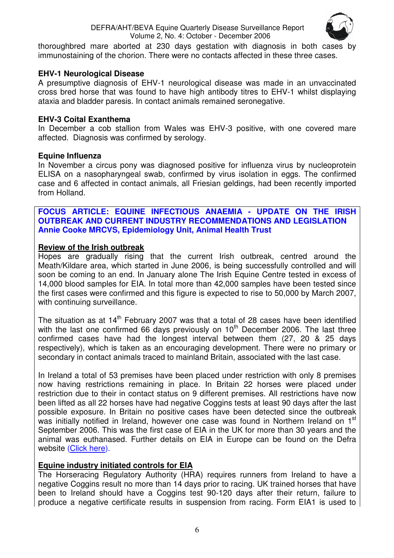

<span id="page-5-0"></span>thoroughbred mare aborted at 230 days gestation with diagnosis in both cases by immunostaining of the chorion. There were no contacts affected in these three cases.

# **EHV-1 Neurological Disease**

A presumptive diagnosis of EHV-1 neurological disease was made in an unvaccinated cross bred horse that was found to have high antibody titres to EHV-1 whilst displaying ataxia and bladder paresis. In contact animals remained seronegative.

# **EHV-3 Coital Exanthema**

In December a cob stallion from Wales was EHV-3 positive, with one covered mare affected. Diagnosis was confirmed by serology.

# **Equine Influenza**

In November a circus pony was diagnosed positive for influenza virus by nucleoprotein ELISA on a nasopharyngeal swab, confirmed by virus isolation in eggs. The confirmed case and 6 affected in contact animals, all Friesian geldings, had been recently imported from Holland.

# **FOCUS ARTICLE: EQUINE INFECTIOUS ANAEMIA - UPDATE ON THE IRISH OUTBREAK AND CURRENT INDUSTRY RECOMMENDATIONS AND LEGISLATION Annie Cooke MRCVS, Epidemiology Unit, Animal Health Trust**

# **Review of the Irish outbreak**

Hopes are gradually rising that the current Irish outbreak, centred around the Meath/Kildare area, which started in June 2006, is being successfully controlled and will soon be coming to an end. In January alone The Irish Equine Centre tested in excess of 14,000 blood samples for EIA. In total more than 42,000 samples have been tested since the first cases were confirmed and this figure is expected to rise to 50,000 by March 2007, with continuing surveillance.

The situation as at  $14<sup>th</sup>$  February 2007 was that a total of 28 cases have been identified with the last one confirmed 66 days previously on  $10^{th}$  December 2006. The last three confirmed cases have had the longest interval between them (27, 20 & 25 days respectively), which is taken as an encouraging development. There were no primary or secondary in contact animals traced to mainland Britain, associated with the last case.

In Ireland a total of 53 premises have been placed under restriction with only 8 premises now having restrictions remaining in place. In Britain 22 horses were placed under restriction due to their in contact status on 9 different premises. All restrictions have now been lifted as all 22 horses have had negative Coggins tests at least 90 days after the last possible exposure. In Britain no positive cases have been detected since the outbreak was initially notified in Ireland, however one case was found in Northern Ireland on 1<sup>st</sup> September 2006. This was the first case of EIA in the UK for more than 30 years and the animal was euthanased. Further details on EIA in Europe can be found on the Defra websit[e \(Click here\).](http://www.defra.gov.uk/animalh/diseases/notifiable/eia/index.htm) 

# **Equine industry initiated controls for EIA**

The Horseracing Regulatory Authority (HRA) requires runners from Ireland to have a negative Coggins result no more than 14 days prior to racing. UK trained horses that have been to Ireland should have a Coggins test 90-120 days after their return, failure to produce a negative certificate results in suspension from racing. Form EIA1 is used to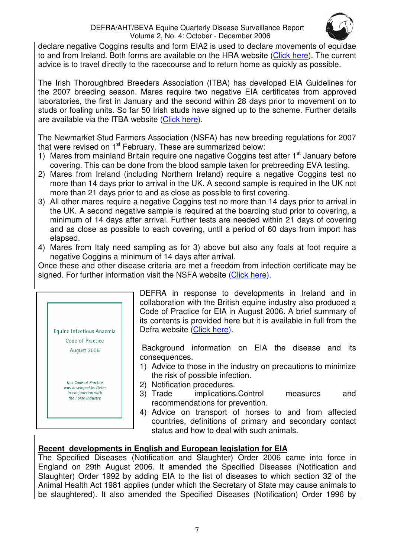

declare negative Coggins results and form EIA2 is used to declare movements of equidae to and from Ireland. Both forms are available on the HRA website [\(Click here\).](http://www.thehra.org.uk/doc.php?id=42370) The current advice is to travel directly to the racecourse and to return home as quickly as possible.

The Irish Thoroughbred Breeders Association (ITBA) has developed EIA Guidelines for the 2007 breeding season. Mares require two negative EIA certificates from approved laboratories, the first in January and the second within 28 days prior to movement on to studs or foaling units. So far 50 Irish studs have signed up to the scheme. Further details are available via the ITBA websit[e \(Click here\).](http://www.itba.ie/index1.htm) 

The Newmarket Stud Farmers Association (NSFA) has new breeding regulations for 2007 that were revised on 1<sup>st</sup> February. These are summarized below:

- 1) Mares from mainland Britain require one negative Coggins test after 1<sup>st</sup> January before covering. This can be done from the blood sample taken for prebreeding EVA testing.
- 2) Mares from Ireland (including Northern Ireland) require a negative Coggins test no more than 14 days prior to arrival in the UK. A second sample is required in the UK not more than 21 days prior to and as close as possible to first covering.
- 3) All other mares require a negative Coggins test no more than 14 days prior to arrival in the UK. A second negative sample is required at the boarding stud prior to covering, a minimum of 14 days after arrival. Further tests are needed within 21 days of covering and as close as possible to each covering, until a period of 60 days from import has elapsed.
- 4) Mares from Italy need sampling as for 3) above but also any foals at foot require a negative Coggins a minimum of 14 days after arrival.

Once these and other disease criteria are met a freedom from infection certificate may be signed. For further information visit the NSFA website [\(Click here\).](http://www.nsfa.org.uk/breedingregs2007.asp) 



DEFRA in response to developments in Ireland and in collaboration with the British equine industry also produced a Code of Practice for EIA in August 2006. A brief summary of its contents is provided here but it is available in full from the Defra website [\(Click here\).](http://www.defra.gov.uk/animalh/diseases/notifiable/pdf/eia-cop0806.pdf) 

Background information on EIA the disease and its consequences.

- 1) Advice to those in the industry on precautions to minimize the risk of possible infection.
- 2) Notification procedures.
- 3) Trade implications.Control measures and recommendations for prevention.
- 4) Advice on transport of horses to and from affected countries, definitions of primary and secondary contact status and how to deal with such animals.

# **Recent developments in English and European legislation for EIA**

The Specified Diseases (Notification and Slaughter) Order 2006 came into force in England on 29th August 2006. It amended the Specified Diseases (Notification and Slaughter) Order 1992 by adding EIA to the list of diseases to which section 32 of the Animal Health Act 1981 applies (under which the Secretary of State may cause animals to be slaughtered). It also amended the Specified Diseases (Notification) Order 1996 by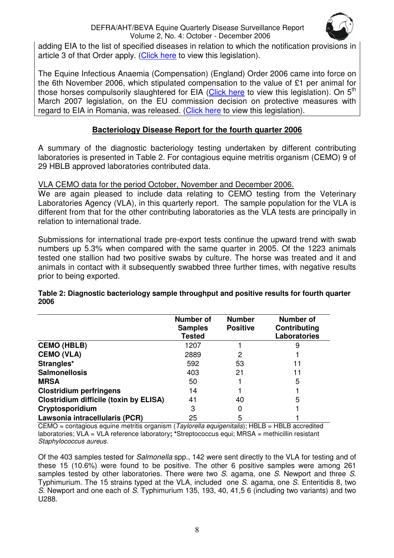# DEFRA/AHT/BEVA Equine Quarterly Disease Surveillance Report Volume 2, No. 4: October - December 2006



<span id="page-7-0"></span>adding EIA to the list of specified diseases in relation to which the notification provisions in article 3 of that Order apply. [\(Click here t](http://www.opsi.gov.uk/si/si2006/uksi_20062166_en.pdf)o view this legislation).

The Equine Infectious Anaemia (Compensation) (England) Order 2006 came into force on the 6th November 2006, which stipulated compensation to the value of £1 per animal for those horses compulsorily slaughtered for EI[A \(Click here t](http://www.opsi.gov.uk/si/si2006/20062740.htm)o view this legislation). On 5<sup>th</sup> March 2007 legislation, on the EU commission decision on protective measures with regard to EIA in Romania, was released. [\(Click here](http://www.defra.gov.uk/animalh/diseases/notifiable/eia/protection_measures.htm) to view this legislation).

# **Bacteriology Disease Report for the fourth quarter 2006**

A summary of the diagnostic bacteriology testing undertaken by different contributing laboratories is presented in Table 2. For contagious equine metritis organism (CEMO) 9 of 29 HBLB approved laboratories contributed data.

VLA CEMO data for the period October, November and December 2006.

We are again pleased to include data relating to CEMO testing from the Veterinary Laboratories Agency (VLA), in this quarterly report. The sample population for the VLA is different from that for the other contributing laboratories as the VLA tests are principally in relation to international trade.

Submissions for international trade pre-export tests continue the upward trend with swab numbers up 5.3% when compared with the same quarter in 2005. Of the 1223 animals tested one stallion had two positive swabs by culture. The horse was treated and it and animals in contact with it subsequently swabbed three further times, with negative results prior to being exported.

|                                               | Number of<br><b>Samples</b><br><b>Tested</b> | <b>Number</b><br><b>Positive</b> | Number of<br>Contributing<br>Laboratories |
|-----------------------------------------------|----------------------------------------------|----------------------------------|-------------------------------------------|
| <b>CEMO (HBLB)</b>                            | 1207                                         |                                  | 9                                         |
| <b>CEMO (VLA)</b>                             | 2889                                         | 2                                |                                           |
| Strangles*                                    | 592                                          | 53                               | 11                                        |
| <b>Salmonellosis</b>                          | 403                                          | 21                               | 11                                        |
| <b>MRSA</b>                                   | 50                                           |                                  | 5                                         |
| <b>Clostridium perfringens</b>                | 14                                           |                                  |                                           |
| <b>Clostridium difficile (toxin by ELISA)</b> | 41                                           | 40                               | 5                                         |
| Cryptosporidium                               | 3                                            |                                  |                                           |
| Lawsonia intracellularis (PCR)                | 25                                           | 5                                |                                           |

**Table 2: Diagnostic bacteriology sample throughput and positive results for fourth quarter 2006** 

 $CEMO =$  contagious equine metritis organism (Taylorella equigenitalis); HBLB = HBLB accredited laboratories; VLA = VLA reference laboratory**; \***Streptococcus equi; MRSA = methicillin resistant Staphylococcus aureus.

Of the 403 samples tested for Salmonella spp., 142 were sent directly to the VLA for testing and of these 15 (10.6%) were found to be positive. The other 6 positive samples were among 261 samples tested by other laboratories. There were two  $S$  agama, one  $S$ . Newport and three  $S$ . Typhimurium. The 15 strains typed at the VLA, included one S. agama, one S. Enteritidis 8, two S. Newport and one each of S. Typhimurium 135, 193, 40, 41,5 6 (including two variants) and two U288.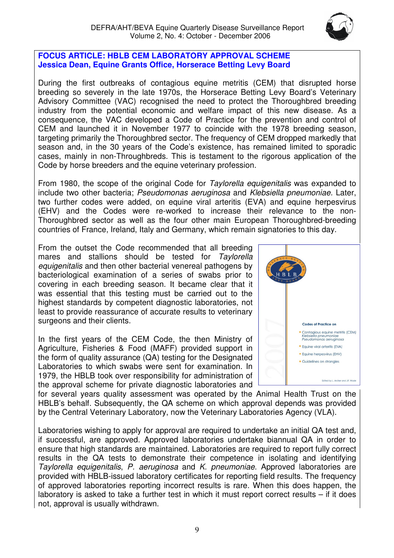

#### <span id="page-8-0"></span>**FOCUS ARTICLE: HBLB CEM LABORATORY APPROVAL SCHEME Jessica Dean, Equine Grants Office, Horserace Betting Levy Board**

During the first outbreaks of contagious equine metritis (CEM) that disrupted horse breeding so severely in the late 1970s, the Horserace Betting Levy Board's Veterinary Advisory Committee (VAC) recognised the need to protect the Thoroughbred breeding industry from the potential economic and welfare impact of this new disease. As a consequence, the VAC developed a Code of Practice for the prevention and control of CEM and launched it in November 1977 to coincide with the 1978 breeding season, targeting primarily the Thoroughbred sector. The frequency of CEM dropped markedly that season and, in the 30 years of the Code's existence, has remained limited to sporadic cases, mainly in non-Throughbreds. This is testament to the rigorous application of the Code by horse breeders and the equine veterinary profession.

From 1980, the scope of the original Code for Taylorella equigenitalis was expanded to include two other bacteria; Pseudomonas aeruginosa and Klebsiella pneumoniae. Later, two further codes were added, on equine viral arteritis (EVA) and equine herpesvirus (EHV) and the Codes were re-worked to increase their relevance to the non-Thoroughbred sector as well as the four other main European Thoroughbred-breeding countries of France, Ireland, Italy and Germany, which remain signatories to this day.

From the outset the Code recommended that all breeding mares and stallions should be tested for Taylorella equigenitalis and then other bacterial venereal pathogens by bacteriological examination of a series of swabs prior to covering in each breeding season. It became clear that it was essential that this testing must be carried out to the highest standards by competent diagnostic laboratories, not least to provide reassurance of accurate results to veterinary surgeons and their clients.

In the first years of the CEM Code, the then Ministry of Agriculture, Fisheries & Food (MAFF) provided support in the form of quality assurance (QA) testing for the Designated Laboratories to which swabs were sent for examination. In 1979, the HBLB took over responsibility for administration of the approval scheme for private diagnostic laboratories and



for several years quality assessment was operated by the Animal Health Trust on the HBLB's behalf. Subsequently, the QA scheme on which approval depends was provided by the Central Veterinary Laboratory, now the Veterinary Laboratories Agency (VLA).

Laboratories wishing to apply for approval are required to undertake an initial QA test and, if successful, are approved. Approved laboratories undertake biannual QA in order to ensure that high standards are maintained. Laboratories are required to report fully correct results in the QA tests to demonstrate their competence in isolating and identifying Taylorella equigenitalis, P. aeruginosa and K. pneumoniae. Approved laboratories are provided with HBLB-issued laboratory certificates for reporting field results. The frequency of approved laboratories reporting incorrect results is rare. When this does happen, the laboratory is asked to take a further test in which it must report correct results – if it does not, approval is usually withdrawn.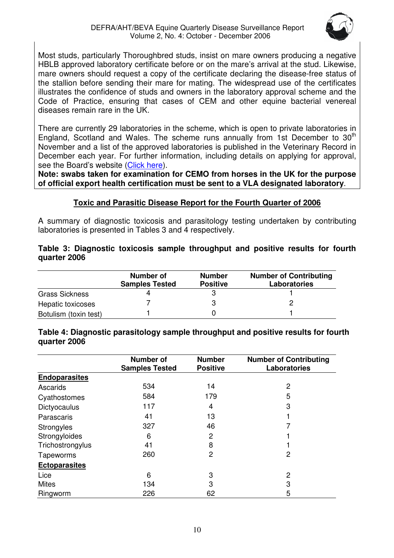

<span id="page-9-0"></span>Most studs, particularly Thoroughbred studs, insist on mare owners producing a negative HBLB approved laboratory certificate before or on the mare's arrival at the stud. Likewise, mare owners should request a copy of the certificate declaring the disease-free status of the stallion before sending their mare for mating. The widespread use of the certificates illustrates the confidence of studs and owners in the laboratory approval scheme and the Code of Practice, ensuring that cases of CEM and other equine bacterial venereal diseases remain rare in the UK.

There are currently 29 laboratories in the scheme, which is open to private laboratories in England, Scotland and Wales. The scheme runs annually from 1st December to 30<sup>th</sup> November and a list of the approved laboratories is published in the Veterinary Record in December each year. For further information, including details on applying for approval. see the Board's website (Click here).

**Note: swabs taken for examination for CEMO from horses in the UK for the purpose of official export health certification must be sent to a VLA designated laboratory**.

# **Toxic and Parasitic Disease Report for the Fourth Quarter of 2006**

A summary of diagnostic toxicosis and parasitology testing undertaken by contributing laboratories is presented in Tables 3 and 4 respectively.

# **Table 3: Diagnostic toxicosis sample throughput and positive results for fourth quarter 2006**

|                       | Number of<br><b>Samples Tested</b> | <b>Number</b><br><b>Positive</b> | <b>Number of Contributing</b><br><b>Laboratories</b> |
|-----------------------|------------------------------------|----------------------------------|------------------------------------------------------|
| Grass Sickness        |                                    |                                  |                                                      |
| Hepatic toxicoses     |                                    |                                  |                                                      |
| Botulism (toxin test) |                                    |                                  |                                                      |

**Table 4: Diagnostic parasitology sample throughput and positive results for fourth quarter 2006** 

|                      | <b>Number of</b><br><b>Samples Tested</b> | <b>Number</b><br><b>Positive</b> | <b>Number of Contributing</b><br><b>Laboratories</b> |
|----------------------|-------------------------------------------|----------------------------------|------------------------------------------------------|
| <b>Endoparasites</b> |                                           |                                  |                                                      |
| Ascarids             | 534                                       | 14                               | 2                                                    |
| Cyathostomes         | 584                                       | 179                              | 5                                                    |
| Dictyocaulus         | 117                                       | 4                                | 3                                                    |
| Parascaris           | 41                                        | 13                               |                                                      |
| Strongyles           | 327                                       | 46                               |                                                      |
| Strongyloides        | 6                                         | 2                                |                                                      |
| Trichostrongylus     | 41                                        | 8                                |                                                      |
| Tapeworms            | 260                                       | 2                                | 2                                                    |
| <b>Ectoparasites</b> |                                           |                                  |                                                      |
| Lice                 | 6                                         | 3                                | 2                                                    |
| <b>Mites</b>         | 134                                       | 3                                | 3                                                    |
| Ringworm             | 226                                       | 62                               | 5                                                    |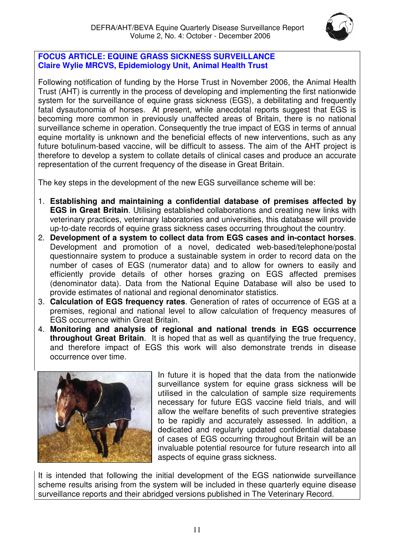

# <span id="page-10-0"></span>**FOCUS ARTICLE: EQUINE GRASS SICKNESS SURVEILLANCE Claire Wylie MRCVS, Epidemiology Unit, Animal Health Trust**

Following notification of funding by the Horse Trust in November 2006, the Animal Health Trust (AHT) is currently in the process of developing and implementing the first nationwide system for the surveillance of equine grass sickness (EGS), a debilitating and frequently fatal dysautonomia of horses. At present, while anecdotal reports suggest that EGS is becoming more common in previously unaffected areas of Britain, there is no national surveillance scheme in operation. Consequently the true impact of EGS in terms of annual equine mortality is unknown and the beneficial effects of new interventions, such as any future botulinum-based vaccine, will be difficult to assess. The aim of the AHT project is therefore to develop a system to collate details of clinical cases and produce an accurate representation of the current frequency of the disease in Great Britain.

The key steps in the development of the new EGS surveillance scheme will be:

- 1. **Establishing and maintaining a confidential database of premises affected by EGS in Great Britain**. Utilising established collaborations and creating new links with veterinary practices, veterinary laboratories and universities, this database will provide up-to-date records of equine grass sickness cases occurring throughout the country.
- 2. **Development of a system to collect data from EGS cases and in-contact horses**. Development and promotion of a novel, dedicated web-based/telephone/postal questionnaire system to produce a sustainable system in order to record data on the number of cases of EGS (numerator data) and to allow for owners to easily and efficiently provide details of other horses grazing on EGS affected premises (denominator data). Data from the National Equine Database will also be used to provide estimates of national and regional denominator statistics.
- 3. **Calculation of EGS frequency rates**. Generation of rates of occurrence of EGS at a premises, regional and national level to allow calculation of frequency measures of EGS occurrence within Great Britain.
- 4. **Monitoring and analysis of regional and national trends in EGS occurrence throughout Great Britain.** It is hoped that as well as quantifying the true frequency, and therefore impact of EGS this work will also demonstrate trends in disease occurrence over time.



In future it is hoped that the data from the nationwide surveillance system for equine grass sickness will be utilised in the calculation of sample size requirements necessary for future EGS vaccine field trials, and will allow the welfare benefits of such preventive strategies to be rapidly and accurately assessed. In addition, a dedicated and regularly updated confidential database of cases of EGS occurring throughout Britain will be an invaluable potential resource for future research into all aspects of equine grass sickness.

It is intended that following the initial development of the EGS nationwide surveillance scheme results arising from the system will be included in these quarterly equine disease surveillance reports and their abridged versions published in The Veterinary Record.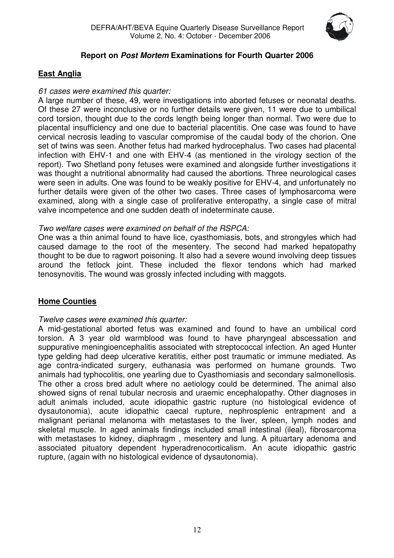

# **Report on Post Mortem Examinations for Fourth Quarter 2006**

# <span id="page-11-0"></span>**East Anglia**

# 61 cases were examined this quarter:

A large number of these, 49, were investigations into aborted fetuses or neonatal deaths. Of these 27 were inconclusive or no further details were given, 11 were due to umbilical cord torsion, thought due to the cords length being longer than normal. Two were due to placental insufficiency and one due to bacterial placentitis. One case was found to have cervical necrosis leading to vascular compromise of the caudal body of the chorion. One set of twins was seen. Another fetus had marked hydrocephalus. Two cases had placental infection with EHV-1 and one with EHV-4 (as mentioned in the virology section of the report). Two Shetland pony fetuses were examined and alongside further investigations it was thought a nutritional abnormality had caused the abortions. Three neurological cases were seen in adults. One was found to be weakly positive for EHV-4, and unfortunately no further details were given of the other two cases. Three cases of lymphosarcoma were examined, along with a single case of proliferative enteropathy, a single case of mitral valve incompetence and one sudden death of indeterminate cause.

# Two welfare cases were examined on behalf of the RSPCA:

One was a thin animal found to have lice, cyasthomiasis, bots, and strongyles which had caused damage to the root of the mesentery. The second had marked hepatopathy thought to be due to ragwort poisoning. It also had a severe wound involving deep tissues around the fetlock joint. These included the flexor tendons which had marked tenosynovitis. The wound was grossly infected including with maggots.

# **Home Counties**

# Twelve cases were examined this quarter:

A mid-gestational aborted fetus was examined and found to have an umbilical cord torsion. A 3 year old warmblood was found to have pharyngeal abscessation and suppurative meningioencephalitis associated with streptococcal infection. An aged Hunter type gelding had deep ulcerative keratitis, either post traumatic or immune mediated. As age contra-indicated surgery, euthanasia was performed on humane grounds. Two animals had typhocolitis, one yearling due to Cyasthomiasis and secondary salmonellosis. The other a cross bred adult where no aetiology could be determined. The animal also showed signs of renal tubular necrosis and uraemic encephalopathy. Other diagnoses in adult animals included, acute idiopathic gastric rupture (no histological evidence of dysautonomia), acute idiopathic caecal rupture, nephrosplenic entrapment and a malignant perianal melanoma with metastases to the liver, spleen, lymph nodes and skeletal muscle. In aged animals findings included small intestinal (ileal), fibrosarcoma with metastases to kidney, diaphragm , mesentery and lung. A pituartary adenoma and associated pituatory dependent hyperadrenocorticalism. An acute idiopathic gastric rupture, (again with no histological evidence of dysautonomia).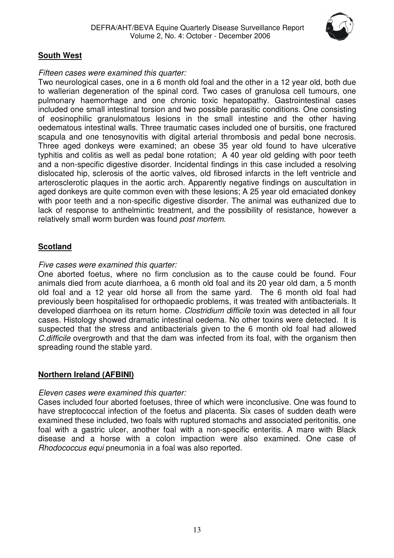

# <span id="page-12-0"></span>**South West**

# Fifteen cases were examined this quarter:

Two neurological cases, one in a 6 month old foal and the other in a 12 year old, both due to wallerian degeneration of the spinal cord. Two cases of granulosa cell tumours, one pulmonary haemorrhage and one chronic toxic hepatopathy. Gastrointestinal cases included one small intestinal torsion and two possible parasitic conditions. One consisting of eosinophilic granulomatous lesions in the small intestine and the other having oedematous intestinal walls. Three traumatic cases included one of bursitis, one fractured scapula and one tenosynovitis with digital arterial thrombosis and pedal bone necrosis. Three aged donkeys were examined; an obese 35 year old found to have ulcerative typhitis and colitis as well as pedal bone rotation; A 40 year old gelding with poor teeth and a non-specific digestive disorder. Incidental findings in this case included a resolving dislocated hip, sclerosis of the aortic valves, old fibrosed infarcts in the left ventricle and arterosclerotic plaques in the aortic arch. Apparently negative findings on auscultation in aged donkeys are quite common even with these lesions; A 25 year old emaciated donkey with poor teeth and a non-specific digestive disorder. The animal was euthanized due to lack of response to anthelmintic treatment, and the possibility of resistance, however a relatively small worm burden was found post mortem.

# **Scotland**

# Five cases were examined this quarter:

One aborted foetus, where no firm conclusion as to the cause could be found. Four animals died from acute diarrhoea, a 6 month old foal and its 20 year old dam, a 5 month old foal and a 12 year old horse all from the same yard. The 6 month old foal had previously been hospitalised for orthopaedic problems, it was treated with antibacterials. It developed diarrhoea on its return home. Clostridium difficile toxin was detected in all four cases. Histology showed dramatic intestinal oedema. No other toxins were detected. It is suspected that the stress and antibacterials given to the 6 month old foal had allowed C.difficile overgrowth and that the dam was infected from its foal, with the organism then spreading round the stable yard.

# **Northern Ireland (AFBINI)**

# Eleven cases were examined this quarter:

Cases included four aborted foetuses, three of which were inconclusive. One was found to have streptococcal infection of the foetus and placenta. Six cases of sudden death were examined these included, two foals with ruptured stomachs and associated peritonitis, one foal with a gastric ulcer, another foal with a non-specific enteritis. A mare with Black disease and a horse with a colon impaction were also examined. One case of Rhodococcus equi pneumonia in a foal was also reported.